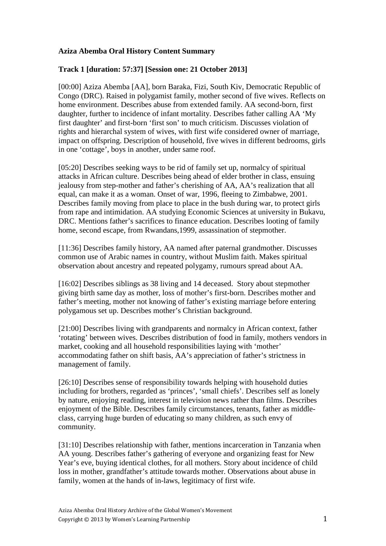## **Aziza Abemba Oral History Content Summary**

## **Track 1 [duration: 57:37] [Session one: 21 October 2013]**

[00:00] Aziza Abemba [AA], born Baraka, Fizi, South Kiv, Democratic Republic of Congo (DRC). Raised in polygamist family, mother second of five wives. Reflects on home environment. Describes abuse from extended family. AA second-born, first daughter, further to incidence of infant mortality. Describes father calling AA 'My first daughter' and first-born 'first son' to much criticism. Discusses violation of rights and hierarchal system of wives, with first wife considered owner of marriage, impact on offspring. Description of household, five wives in different bedrooms, girls in one 'cottage', boys in another, under same roof.

[05:20] Describes seeking ways to be rid of family set up, normalcy of spiritual attacks in African culture. Describes being ahead of elder brother in class, ensuing jealousy from step-mother and father's cherishing of AA, AA's realization that all equal, can make it as a woman. Onset of war, 1996, fleeing to Zimbabwe, 2001. Describes family moving from place to place in the bush during war, to protect girls from rape and intimidation. AA studying Economic Sciences at university in Bukavu, DRC. Mentions father's sacrifices to finance education. Describes looting of family home, second escape, from Rwandans,1999, assassination of stepmother.

[11:36] Describes family history, AA named after paternal grandmother. Discusses common use of Arabic names in country, without Muslim faith. Makes spiritual observation about ancestry and repeated polygamy, rumours spread about AA.

[16:02] Describes siblings as 38 living and 14 deceased. Story about stepmother giving birth same day as mother, loss of mother's first-born. Describes mother and father's meeting, mother not knowing of father's existing marriage before entering polygamous set up. Describes mother's Christian background.

[21:00] Describes living with grandparents and normalcy in African context, father 'rotating' between wives. Describes distribution of food in family, mothers vendors in market, cooking and all household responsibilities laying with 'mother' accommodating father on shift basis, AA's appreciation of father's strictness in management of family.

[26:10] Describes sense of responsibility towards helping with household duties including for brothers, regarded as 'princes', 'small chiefs'. Describes self as lonely by nature, enjoying reading, interest in television news rather than films. Describes enjoyment of the Bible. Describes family circumstances, tenants, father as middleclass, carrying huge burden of educating so many children, as such envy of community.

[31:10] Describes relationship with father, mentions incarceration in Tanzania when AA young. Describes father's gathering of everyone and organizing feast for New Year's eve, buying identical clothes, for all mothers. Story about incidence of child loss in mother, grandfather's attitude towards mother. Observations about abuse in family, women at the hands of in-laws, legitimacy of first wife.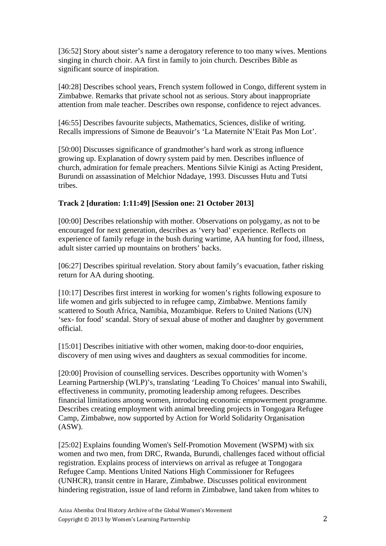[36:52] Story about sister's name a derogatory reference to too many wives. Mentions singing in church choir. AA first in family to join church. Describes Bible as significant source of inspiration.

[40:28] Describes school years, French system followed in Congo, different system in Zimbabwe. Remarks that private school not as serious. Story about inappropriate attention from male teacher. Describes own response, confidence to reject advances.

[46:55] Describes favourite subjects, Mathematics, Sciences, dislike of writing. Recalls impressions of Simone de Beauvoir's 'La Maternite N'Etait Pas Mon Lot'.

[50:00] Discusses significance of grandmother's hard work as strong influence growing up. Explanation of dowry system paid by men. Describes influence of church, admiration for female preachers. Mentions Silvie Kinigi as Acting President, Burundi on assassination of Melchior Ndadaye, 1993. Discusses Hutu and Tutsi tribes.

## **Track 2 [duration: 1:11:49] [Session one: 21 October 2013]**

[00:00] Describes relationship with mother. Observations on polygamy, as not to be encouraged for next generation, describes as 'very bad' experience. Reflects on experience of family refuge in the bush during wartime, AA hunting for food, illness, adult sister carried up mountains on brothers' backs.

[06:27] Describes spiritual revelation. Story about family's evacuation, father risking return for AA during shooting.

[10:17] Describes first interest in working for women's rights following exposure to life women and girls subjected to in refugee camp, Zimbabwe. Mentions family scattered to South Africa, Namibia, Mozambique. Refers to United Nations (UN) 'sex- for food' scandal. Story of sexual abuse of mother and daughter by government official.

[15:01] Describes initiative with other women, making door-to-door enquiries, discovery of men using wives and daughters as sexual commodities for income.

[20:00] Provision of counselling services. Describes opportunity with Women's Learning Partnership (WLP)'s, translating 'Leading To Choices' manual into Swahili, effectiveness in community, promoting leadership among refugees. Describes financial limitations among women, introducing economic empowerment programme. Describes creating employment with animal breeding projects in Tongogara Refugee Camp, Zimbabwe, now supported by Action for World Solidarity Organisation (ASW).

[25:02] Explains founding Women's Self-Promotion Movement (WSPM) with six women and two men, from DRC, Rwanda, Burundi, challenges faced without official registration. Explains process of interviews on arrival as refugee at Tongogara Refugee Camp. Mentions United Nations High Commissioner for Refugees (UNHCR), transit centre in Harare, Zimbabwe. Discusses political environment hindering registration, issue of land reform in Zimbabwe, land taken from whites to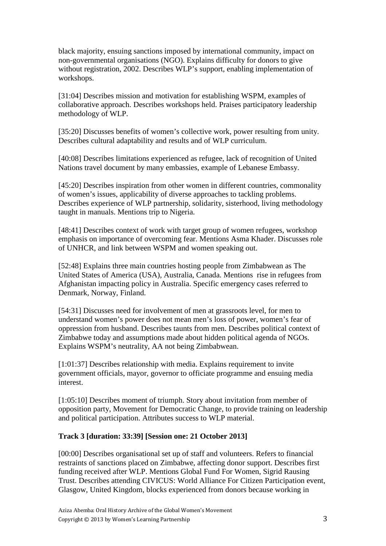black majority, ensuing sanctions imposed by international community, impact on non-governmental organisations (NGO). Explains difficulty for donors to give without registration, 2002. Describes WLP's support, enabling implementation of workshops.

[31:04] Describes mission and motivation for establishing WSPM, examples of collaborative approach. Describes workshops held. Praises participatory leadership methodology of WLP.

[35:20] Discusses benefits of women's collective work, power resulting from unity. Describes cultural adaptability and results and of WLP curriculum.

[40:08] Describes limitations experienced as refugee, lack of recognition of United Nations travel document by many embassies, example of Lebanese Embassy.

[45:20] Describes inspiration from other women in different countries, commonality of women's issues, applicability of diverse approaches to tackling problems. Describes experience of WLP partnership, solidarity, sisterhood, living methodology taught in manuals. Mentions trip to Nigeria.

[48:41] Describes context of work with target group of women refugees, workshop emphasis on importance of overcoming fear. Mentions Asma Khader. Discusses role of UNHCR, and link between WSPM and women speaking out.

[52:48] Explains three main countries hosting people from Zimbabwean as The United States of America (USA), Australia, Canada. Mentions rise in refugees from Afghanistan impacting policy in Australia. Specific emergency cases referred to Denmark, Norway, Finland.

[54:31] Discusses need for involvement of men at grassroots level, for men to understand women's power does not mean men's loss of power, women's fear of oppression from husband. Describes taunts from men. Describes political context of Zimbabwe today and assumptions made about hidden political agenda of NGOs. Explains WSPM's neutrality, AA not being Zimbabwean.

[1:01:37] Describes relationship with media. Explains requirement to invite government officials, mayor, governor to officiate programme and ensuing media interest.

[1:05:10] Describes moment of triumph. Story about invitation from member of opposition party, Movement for Democratic Change, to provide training on leadership and political participation. Attributes success to WLP material.

## **Track 3 [duration: 33:39] [Session one: 21 October 2013]**

[00:00] Describes organisational set up of staff and volunteers. Refers to financial restraints of sanctions placed on Zimbabwe, affecting donor support. Describes first funding received after WLP. Mentions Global Fund For Women, Sigrid Rausing Trust. Describes attending CIVICUS: World Alliance For Citizen Participation event, Glasgow, United Kingdom, blocks experienced from donors because working in